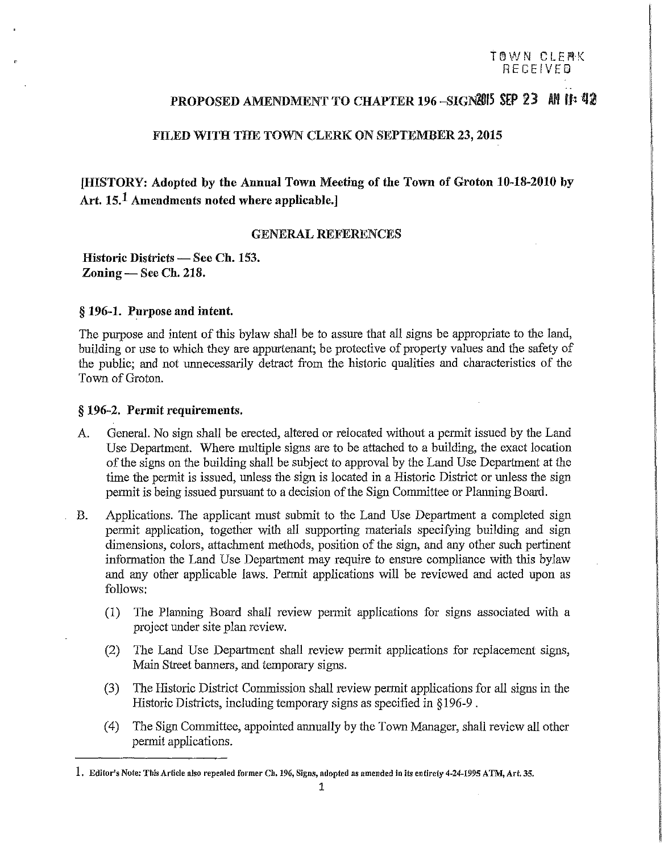# PROPOSED AMENDMENT TO CHAPTER 196-SIGN8015 SEP 23 Ml ff: 42

### FILED WITH THE TOWN CLERK ON SEPTEMBER 23, 2015

# [HISTORY: Adopted by the Annual Town Meeting of the Town of Groton 10-18-2010 by Art. 15.<sup>1</sup> Amendments noted where applicable.]

#### GENERAL REFERENCES

Historic Districts - See Ch. 153. Zoning - See Ch. 218.

#### § 196-1. Purpose and intent.

The purpose and intent of this bylaw shall be to assure that all signs be appropriate to the land, building or use to which they are appurtenant; be protective of property values and the safety of the public; and not unnecessarily detract from the historic qualities and characteristics of the Town of Groton.

#### § 196-2. Permit requirements.

- A. General. No sign shall be erected, altered or relocated without a permit issued by the Land Use Department. Where multiple signs are to be attached to a building, the exact location of the signs on the building shall be subject to approval by the Land Use Department at the time the permit is issued, unless the sign is located in a Historic District or unless the sign permit is being issued pursuant to a decision of the Sign Committee or Planning Board.
- B. Applications. The applicant must submit to the Land Use Department a completed sign permit application, together with all supporting materials specifying building and sign dimensions, colors, attachment methods, position of the sign, and any other such pertinent information the Land Use Department may require to ensure compliance with this bylaw and any other applicable laws. Permit applications will be reviewed and acted upon as follows:
	- $(1)$  The Planning Board shall review permit applications for signs associated with a project under site plan review.
	- (2) The Land Use Department shall review permit applications for replacement signs, Main Street banners, and temporary signs.
	- (3) The Historic District Commission shall review permit applications for all signs in the Historic Districts, including temporary signs as specified in §196-9.
	- ( 4) The Sign Committee, appointed annually by the Town Manager, shall review all other permit applications.

**<sup>1.</sup> Editor's Note: This Article also repealed former Ch. 196, Signs, adopted as amended in its entirety** *4-24-1995* **ATM, Art. 35.**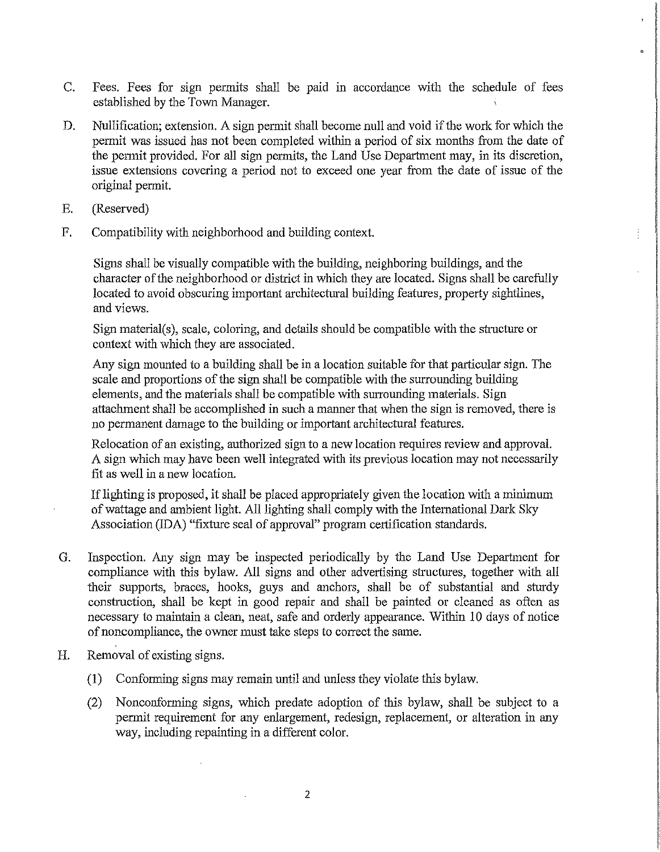- C. Fees. Fees for sign permits shall be paid in accordance with the schedule of fees established by the Town Manager.
- D. Nullification; extension. A sign permit shall become null and void if the work for which the permit was issued has not been completed within a period of six months from the date of the permit provided. For all sign permits, the Land Use Department may, in its discretion, issue extensions covering a period not to exceed one year from the date of issue of the original permit.
- E. (Reserved)
- F. Compatibility with neighborhood and building context.

Signs shall be visually compatible with the building, neighboring buildings, and the character of the neighborhood or district in which they are located. Signs shall be carefully located to avoid obscuring important architectural building features, property sightlines, and views.

Sign material(s), scale, coloring, and details should be compatible with the structure or context with which they are associated.

Any sign mounted to a building shall be in a location suitable for that particular sign. The scale and proportions of the sign shall be compatible with the surrounding building elements, and the materials shall be compatible with surrounding materials. Sign attachment shall be accomplished in such a manner that when the sign is removed, there is no permanent damage to the building or important architectural features.

Relocation of an existing, authorized sign to a new location requires review and approval. A sign which may have been well integrated with its previous location may not necessarily fit as well in a new location.

If lighting is proposed, it shall be placed appropriately given the location with a minimum of wattage and ambient light. All lighting shall comply with the International Dark Sky Association (IDA) "fixture seal of approval" program certification standards.

- G. Inspection. Any sign may be inspected periodically by the Land Use Department for compliance with this bylaw. All signs and other advertising structures, together with all their supports, braces, hooks, guys and anchors, shall be of substantial and sturdy construction, shall be kept in good repair and shall be painted or cleaned as often as necessary to maintain a clean, neat, safe and orderly appearance. Within 10 days of notice of noncompliance, the owner must take steps to correct the same.
- H. Removal of existing signs.
	- (1) Conforming signs may remain until and unless they violate this bylaw.
	- (2) Nonconforming signs, which predate adoption of this bylaw, shall be subject to a permit requirement for any enlargement, redesign, replacement, or alteration in any way, including repainting in a different color.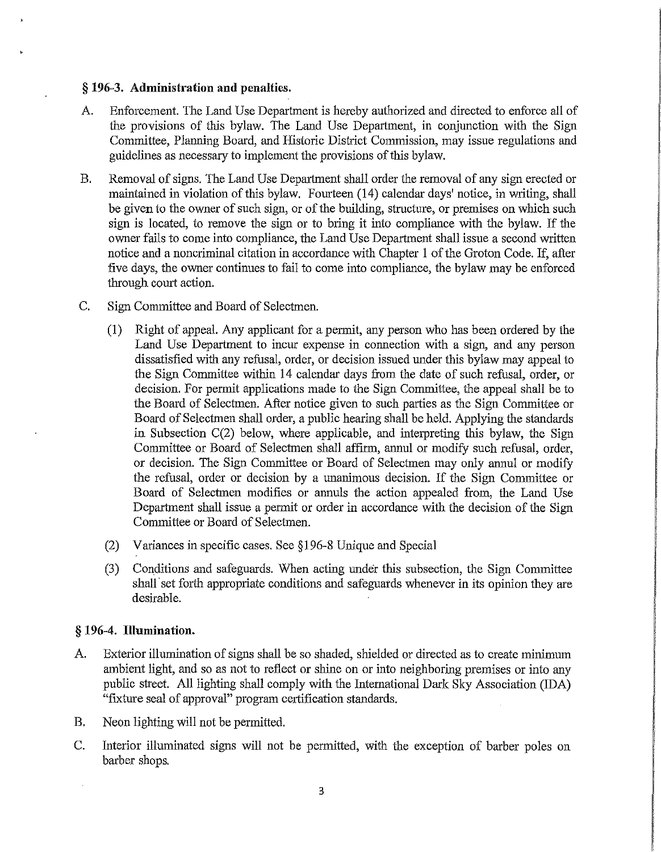### § **196-3. Administration and penalties.**

- A. Enforcement. The Land Use Department is hereby authorized and directed to enforce all of the provisions of this bylaw. The Land Use Department, in conjunction with the Sign Committee, Planning Board, and Historic District Commission, may issue regulations and guidelines as necessary to implement the provisions of this bylaw.
- B. Removal of signs. The Land Use Department shall order the removal of any sign erected or maintained in violation of this bylaw. Fourteen (14) calendar days' notice, in writing, shall be given to the owner of such sign, or of the building, structure, or premises on which such sign is located, to remove the sign or to bring it into compliance with the bylaw. If the owner fails to come into compliance, the Land Use Department shall issue a second written notice and a noncriminal citation in accordance with Chapter 1 of the Groton Code. If, after five days, the owner continues to fail to come into compliance, the bylaw may be enforced through court action.
- C. Sign Committee and Board of Selectmen.
	- (1) Right of appeal. Any applicant for a permit, any person who has been ordered by the Land Use Department to incur expense in connection with a sign, and any person dissatisfied with any refusal, order, or decision issued under this bylaw may appeal to the Sign Committee within 14 calendar days from the date of such refusal, order, or decision. For permit applications made to the Sign Committee, the appeal shall be to the Board of Selectmen. After notice given to such parties as the Sign Committee or Board of Selectmen shall order, a public hearing shall be held. Applying the standards in Subsection C(2) below, where applicable, and interpreting this bylaw, the Sign Committee or Board of Selectmen shall affirm, annul or modify such refusal, order, or decision. The Sign Committee or Board of Selectmen may only annul or modify the refusal, order or decision by a unanimous decision. If the Sign Committee or Board of Selectmen modifies or annuls the action appealed from, the Land Use Department shall issue a permit or order in accordance with the decision of the Sign Committee or Board of Selectmen.
	- (2) Variances in specific cases. See §196-8 Unique and Special
	- (3) Conditions and safeguards. When acting under this subsection, the Sign Committee shall set forth appropriate conditions and safeguards whenever in its opinion they are desirable.

### § **196-4. Illumination.**

- A. Exterior illumination of signs shall be so shaded, shielded or directed as to create minimum ambient light, and so as not to reflect or shine on or into neighboring premises or into any public street. All lighting shall comply with the International Dark Sky Association (IDA) "fixture seal of approval" program certification standards.
- B. Neon lighting will not be permitted.
- C. Interior illuminated signs will not be permitted, with the exception of barber poles on barber shops.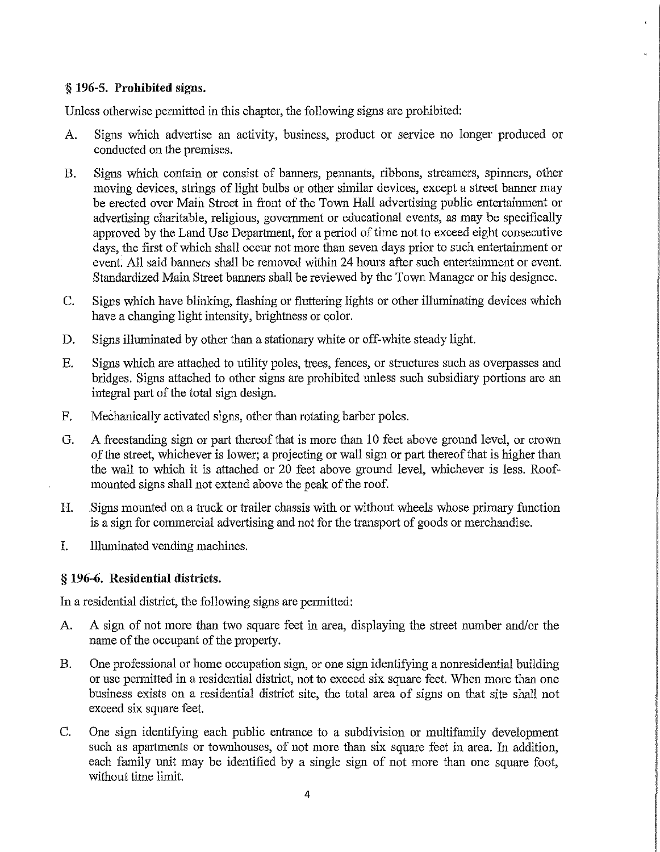# § **196-5. Prohibited** signs.

Unless otherwise permitted in this chapter, the following signs are prohibited:

- A. Signs which advertise an activity, business, product or service no longer produced or conducted on the premises.
- B. Signs which contain or consist of banners, pennants, ribbons, streamers, spinners, other moving devices, strings of light bulbs or other similar devices, except a street banner may be erected over Main Street in front of the Town Hall advertising public entertainment or advertising charitable, religious, government or educational events, as may be specifically approved by the Land Use Department, for a period of time not to exceed eight consecutive days, the first of which shall occur not more than seven days prior to such entertainment or event: All said banners shall be removed within 24 hours after such entertainment or event. Standardized Main Street banners shall be reviewed by the Town Manager or his designee.
- C. Signs which have blinking, flashing or fluttering lights or other illuminating devices which have a changing light intensity, brightness or color.
- D. Signs illuminated by other than a stationary white or off-white steady light.
- E. Signs which are attached to utility poles, trees, fences, or structures such as overpasses and bridges. Signs attached to other signs are prohibited unless such subsidiary portions are an integral part of the total sign design.
- F. Mechanically activated signs, other than rotating barber poles.
- G. A freestanding sign or part thereof that is more than 10 feet above ground level, or crown of the street, whichever is lower; a projecting or wall sign or part thereof that is higher than the wall to which it is attached or 20 feet above ground level, whichever is less. Roofmounted signs shall not extend above the peak of the roof.
- H. .Signs mounted on a truck or trailer chassis with or without wheels whose primary function is a sign for commercial advertising and not for the transport of goods or merchandise.
- I. Illuminated vending machines.

# § **196-6. Residential districts.**

In a residential district, the following signs are permitted:

- A. A sign of not more than two square feet in area, displaying the street number and/or the name of the occupant of the property.
- B. One professional or home occupation sign, or one sign identifying a nonresidential building or use permitted in a residential district, not to exceed six square feet. When more than one business exists on a residential district site, the total area of signs on that site shall not exceed six square feet.
- C. One sign identifying each public entrance to a subdivision or multifamily development such as apartments or townhouses, of not more than six square feet in area. In addition, each family unit may be identified by a single sign of not more than one square foot, without time limit.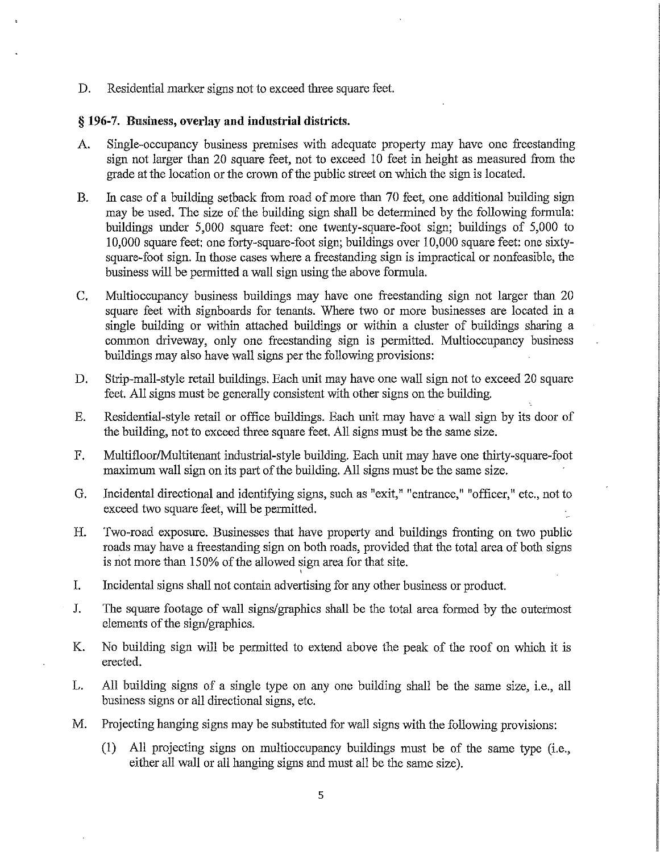D. Residential marker signs not to exceed three square feet.

### § 196-7. Business, overlay and industrial districts.

- A. Single-occupancy business premises with adequate property may have one freestanding sign not larger than 20 square feet, not to exceed 10 feet in height as measured from the grade at the location or the crown of the public street on which the sign is located.
- B. In case of a building setback from road of more than 70 feet, one additional building sign may be used. The size of the building sign shall be determined by the following formula: buildings under 5,000 square feet: one twenty-square-foot sign; buildings of 5,000 to I 0,000 square feet: one forty-square-foot sign; buildings over 10,000 square feet: one sixtysquare-foot sign. In those cases where a freestanding sign is impractical or nonfeasible, the business will be permitted a wall sign using the above formula.
- C. Multioccupancy business buildings may have one freestanding sign not larger than 20 square feet with signboards for tenants. Where two or more businesses are located in a single building or within attached buildings or within a cluster of buildings sharing a common driveway, only one freestanding sign is permitted. Multioccupancy business buildings may also have wall signs per the following provisions:
- D. Strip-mall-style retail buildings. Each unit may have one wall sign not to exceed 20 square feet. All signs must be generally consistent with other signs on the building.
- E. Residential-style retail or office buildings. Each unit may have a wall sign by its door of the building, not to exceed three square feet. All signs must be the same size.
- F. Multifloor/Multitenant industrial-style building. Each *unit* may have one thirty-square-foot maximum wall sign on its part of the building. All signs must be the same size.
- G. Incidental directional and identifying signs, such as "exit," "entrance," "officer," etc., not to exceed two square feet, will be permitted.
- H. Two-road exposure. Businesses that have property and buildings fronting on two public roads may have a freestanding sign on both roads, provided that the total area of both signs is not more than 150% of the allowed sign area for that site.
- '<br>' I. Incidental signs shall not contain advertising for any other business or product.
- I. The square footage of wall signs/graphics shall be the total area formed by the outermost elements of the sign/graphics.
- K. No building sign will be permitted to extend above the peak of the roof on which it is erected.
- L. All building signs of a single type on any one building shall be the same size, i.e., all business signs or all directional signs, etc.
- M. Projecting hanging signs may be substituted for wall signs with the following provisions:
	- (!) All projecting signs on multioccupancy buildings must be of the same type (i.e., either all wall or all hanging signs and must all be the same size).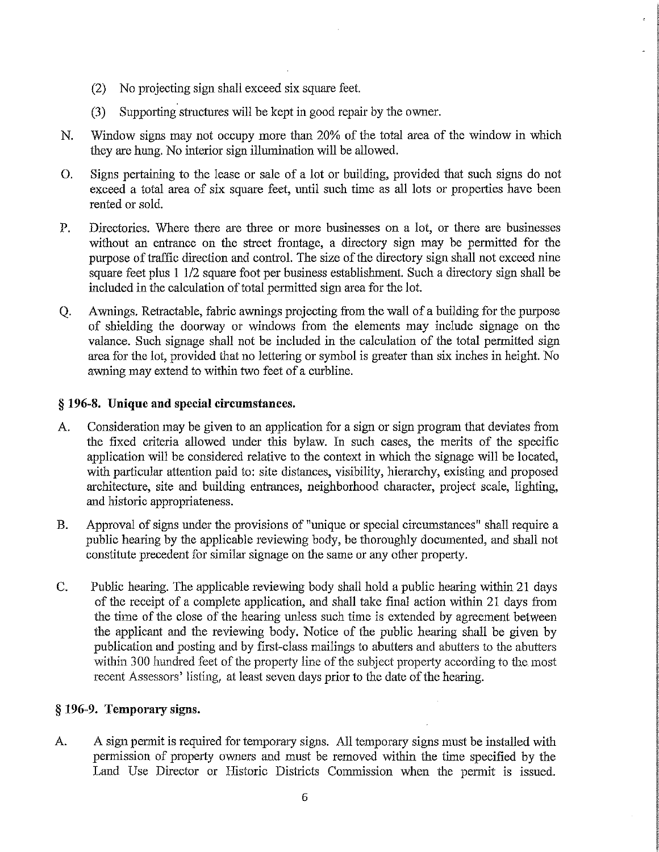- (2) No projecting sign shall exceed six square feet.
- (3) Supporting strnctures will be kept in good repair by the owner.
- N. Window signs may not occupy more than 20% of the total area of the window in which they are hung. No interior sign illumination will be allowed.
- 0. Signs pertaining to the lease or sale of a lot or building, provided that such signs do not exceed a total area of six square feet, until such time as all lots or properties have been rented or sold.
- P. Directories. Where there are three or more businesses on a lot, or there are businesses without an entrance on the street frontage, a directory sign may be permitted for the purpose of traffic direction and control. The size of the directory sign shall not exceed nine square feet plus 1 1/2 square foot per business establishment. Such a directory sign shall be included in the calculation of total permitted sign area for the lot.
- Q. Awnings. Retractable, fabric awnings projecting from the wall of a building for the purpose of shielding the doorway or windows from the elements may include signage on the valance. Such signage shall not be included in the calculation of the total permitted sign area for the lot, provided that no lettering or symbol is greater than six inches in height. No awning may extend to within two feet of a curbline.

# § **196-8. Unique and special circumstances.**

- A. Consideration may be given to an application for a sign or sign program that deviates from the fixed criteria allowed under this bylaw. In such cases, the merits of the specific application will be considered relative to the context in which the signage will be located, with particular attention paid to: site distances, visibility, hierarchy, existing and proposed architecture, site and building entrances, neighborhood character, project scale, lighting, and historic appropriateness.
- B. Approval of signs under the provisions of "unique or special circumstances" shall require a public hearing by the applicable reviewing body, be thoroughly documented, and shall not constitute precedent for similar signage on the same or any other property.
- C. Public hearing. The applicable reviewing body shall hold a public hearing within 21 days of the receipt of a complete application, and shall take final action within 21 days from the time of the close of the hearing unless such time is extended by agreement between the applicant and the reviewing body. Notice of the public hearing shall be given by publication and posting and by first-class mailings to abutters and abutters to the abutters within 300 hundred feet of the property line of the subject property according to the most recent Assessors' listing, at least seven days prior to the date of the hearing.

# § **196-9. Temporary** signs.

A. A sign permit is required for temporary signs. All temporary signs must be installed with permission of property owners and must be removed within the time specified by the Land Use Director or Historic Districts Commission when the permit is issued.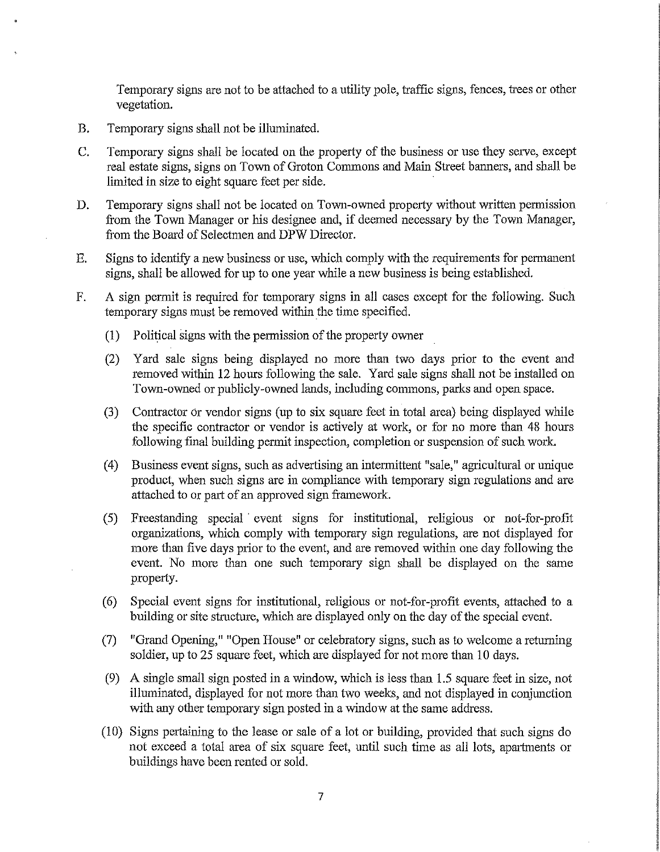Temporary signs are not to be attached to a utility pole, traffic signs, fences, trees or other vegetation.

- B. Temporary signs shall not be illuminated.
- C. Temporary signs shall be located on the property of the business or use they serve, except real estate signs, signs on Town of Groton Commons and Main Street banners, and shall be limited in size to eight square feet per side.
- D. Temporary signs shall not be located on Town-owned property without written permission from the Town Manager or his designee and, if deemed necessary by the Town Manager, from the Board of Selectmen and DPW Director.
- E. Signs to identify a new business or use, which comply with the requirements for permanent signs, shall be allowed for up to one year while a new business is being established.
- F. A sign permit is required for temporary signs in all cases except for the following. Such temporary signs must be removed within the time specified.
	- (1) Political signs with the permission of the property owner
	- (2) Yard sale signs being displayed no more than two days prior to the event and removed within 12 hours following the sale. Yard sale signs shall not be installed on Town-owned or publicly-owned lands, including commons, parks and open space.
	- (3) Contractor Or vendor signs (up to six square feet in total area) being displayed while the specific contractor or vendor is actively at work, or for no more than 48 hours following fmal building permit inspection, completion or suspension of such work.
	- (4) Business event signs, such as advertising an intermittent "sale," agricultural or unique product, when such signs are in compliance with temporary sign regulations and are attached to or part of an approved sign framework.
	- (5) Freestanding special · event signs for institutional, religious or not-for-profit organizations, which comply with temporary sign regulations, are not displayed for more than five days prior to the event, and are removed within one day following the event. No more than one such temporary sign shall be displayed on the same property.
	- (6) Special event signs for institutional, religious or not-for-profit events, attached to a building or site sttucture, which are displayed only on the day of the special event.
	- (7) "Grand Opening," "Open House" or celebratory signs, such as to welcome a returning soldier, up to 25 square feet, which are displayed for not more than 10 days.
	- (9) A single small sign posted in a window, which is less than 1.5 square feet in size, not illuminated, displayed for not more than two weeks, and not displayed in conjunction with any other temporary sign posted in a window at the same address.
	- (10) Signs pertaining to the lease or sale of a lot or building, provided that such signs do not exceed a total area of six square feet, until such time as all lots, apartments or buildings have been rented or sold.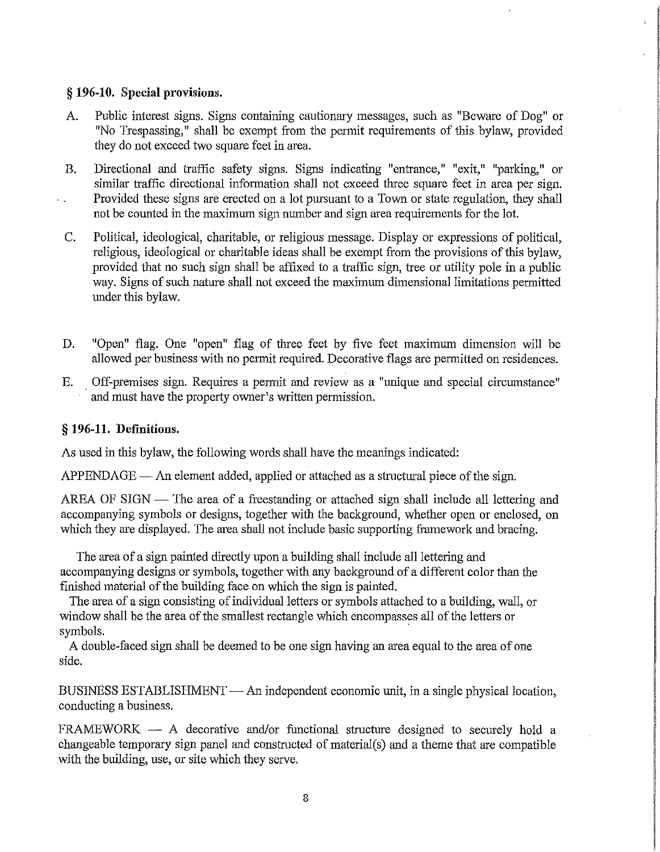### § **196-10. Special provisions.**

- A. Public interest signs. Signs containing cautionary messages, such as "Beware of Dog" or "No Trespassing," shall be exempt from the permit requirements of this bylaw, provided they do not exceed two square feet in area.
- B. Directional and traffic safety signs. Signs indicating "entrance," "exit," "parking," or similar traffic directional information shall not exceed three square feet in area per sign. Provided these signs are erected on a lot pursuant to a Town or state regulation, they shall not be counted in the maximum sign number and sign area requirements for the lot.
- C. Political, ideological, charitable, or religious message. Display or expressions of political, religious, ideological or charitable ideas shall be exempt from the provisions of this bylaw, provided that no such sign shall be affixed to a traffic sign, tree or utility pole in a public way. Signs of such nature shall not exceed the maximum dimensional limitations permitted under this bylaw.
- D. "Open" flag. One "open" flag of three feet by five feet maximum dimension will be allowed per business with no permit required. Decorative flags are permitted on residences.
- E. Off-premises sign. Requires a permit and review as a "unique and special circumstance" and must have the property owner's written permission.

### § **196-11. Definitions.**

As used in this bylaw, the following words shall have the meanings indicated:

 $APPENDAGE$ — An element added, applied or attached as a structural piece of the sign.

AREA OF SIGN — The area of a freestanding or attached sign shall include all lettering and accompanying symbols or designs, together with the background, whether open or enclosed, on which they are displayed. The area shall not include basic supporting framework and bracing.

The area of a sign painted directly upon a building shall include all lettering and accompanying designs or symbols, together with any background of a different color than the finished material of the building face on which the sign is painted.

The area of a sign consisting of individual letters or symbols attached to a building, wall, or window shall be the area of the smallest rectangle which encompasses all of the letters or symbols.

A double-faced sign shall be deemed to be one sign having an area equal to the area of one side.

BUSINESS ESTABLISHMENT - An independent economic unit, in a single physical location, conducting a business.

 $FRAMEWORK - A$  decorative and/or functional structure designed to securely hold a changeable temporary sign panel and constructed of material(s) and a theme that are compatible with the building, use, or site which they serve.